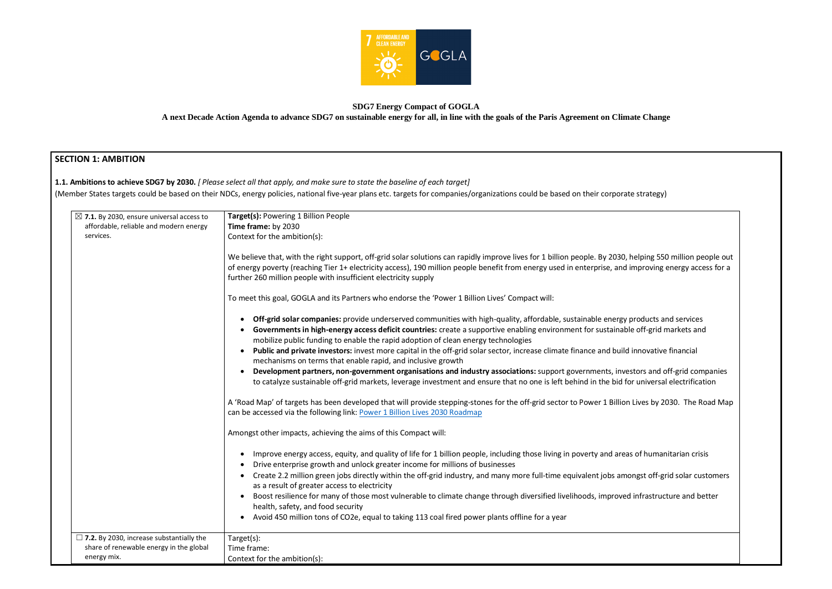

## **SDG7 Energy Compact of GOGLA A next Decade Action Agenda to advance SDG7 on sustainable energy for all, in line with the goals of the Paris Agreement on Climate Change**

## **SECTION 1: AMBITION**

**1.1. Ambitions to achieve SDG7 by 2030.** *[ Please select all that apply, and make sure to state the baseline of each target]*  (Member States targets could be based on their NDCs, energy policies, national five-year plans etc. targets for companies/organizations could be based on their corporate strategy)

| $\boxtimes$ 7.1. By 2030, ensure universal access to<br>affordable, reliable and modern energy<br>services. | Target(s): Powering 1 Billion People<br>Time frame: by 2030<br>Context for the ambition(s):                                                                                                                                                                                                                                                                                           |
|-------------------------------------------------------------------------------------------------------------|---------------------------------------------------------------------------------------------------------------------------------------------------------------------------------------------------------------------------------------------------------------------------------------------------------------------------------------------------------------------------------------|
|                                                                                                             | We believe that, with the right support, off-grid solar solutions can rapidly improve lives for 1 billion people. By 2030, helping 550 million people out<br>of energy poverty (reaching Tier 1+ electricity access), 190 million people benefit from energy used in enterprise, and improving energy access for a<br>further 260 million people with insufficient electricity supply |
|                                                                                                             | To meet this goal, GOGLA and its Partners who endorse the 'Power 1 Billion Lives' Compact will:                                                                                                                                                                                                                                                                                       |
|                                                                                                             | Off-grid solar companies: provide underserved communities with high-quality, affordable, sustainable energy products and services<br>$\bullet$<br>Governments in high-energy access deficit countries: create a supportive enabling environment for sustainable off-grid markets and<br>mobilize public funding to enable the rapid adoption of clean energy technologies             |
|                                                                                                             | Public and private investors: invest more capital in the off-grid solar sector, increase climate finance and build innovative financial<br>mechanisms on terms that enable rapid, and inclusive growth                                                                                                                                                                                |
|                                                                                                             | Development partners, non-government organisations and industry associations: support governments, investors and off-grid companies<br>to catalyze sustainable off-grid markets, leverage investment and ensure that no one is left behind in the bid for universal electrification                                                                                                   |
|                                                                                                             | A 'Road Map' of targets has been developed that will provide stepping-stones for the off-grid sector to Power 1 Billion Lives by 2030. The Road Map<br>can be accessed via the following link: Power 1 Billion Lives 2030 Roadmap                                                                                                                                                     |
|                                                                                                             | Amongst other impacts, achieving the aims of this Compact will:                                                                                                                                                                                                                                                                                                                       |
|                                                                                                             | Improve energy access, equity, and quality of life for 1 billion people, including those living in poverty and areas of humanitarian crisis<br>$\bullet$<br>Drive enterprise growth and unlock greater income for millions of businesses                                                                                                                                              |
|                                                                                                             | Create 2.2 million green jobs directly within the off-grid industry, and many more full-time equivalent jobs amongst off-grid solar customers<br>as a result of greater access to electricity                                                                                                                                                                                         |
|                                                                                                             | Boost resilience for many of those most vulnerable to climate change through diversified livelihoods, improved infrastructure and better<br>$\bullet$<br>health, safety, and food security                                                                                                                                                                                            |
|                                                                                                             | Avoid 450 million tons of CO2e, equal to taking 113 coal fired power plants offline for a year<br>$\bullet$                                                                                                                                                                                                                                                                           |
| $\Box$ 7.2. By 2030, increase substantially the<br>share of renewable energy in the global<br>energy mix.   | Target(s):<br>Time frame:                                                                                                                                                                                                                                                                                                                                                             |
|                                                                                                             | Context for the ambition(s):                                                                                                                                                                                                                                                                                                                                                          |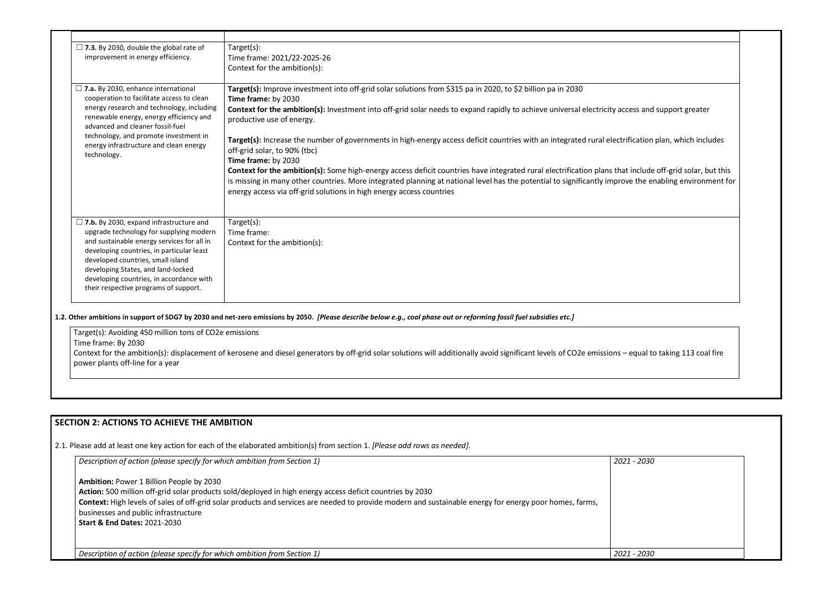| $\Box$ 7.3. By 2030, double the global rate of                                                                           | Target(s):                                                                                                                                                                                                                                                                                                                                                                                 |
|--------------------------------------------------------------------------------------------------------------------------|--------------------------------------------------------------------------------------------------------------------------------------------------------------------------------------------------------------------------------------------------------------------------------------------------------------------------------------------------------------------------------------------|
| improvement in energy efficiency.                                                                                        | Time frame: 2021/22-2025-26                                                                                                                                                                                                                                                                                                                                                                |
|                                                                                                                          | Context for the ambition(s):                                                                                                                                                                                                                                                                                                                                                               |
| $\Box$ 7.a. By 2030, enhance international                                                                               | Target(s): Improve investment into off-grid solar solutions from \$315 pa in 2020, to \$2 billion pa in 2030                                                                                                                                                                                                                                                                               |
| cooperation to facilitate access to clean                                                                                | Time frame: by 2030                                                                                                                                                                                                                                                                                                                                                                        |
| energy research and technology, including<br>renewable energy, energy efficiency and<br>advanced and cleaner fossil-fuel | Context for the ambition(s): Investment into off-grid solar needs to expand rapidly to achieve universal electricity access and support greater<br>productive use of energy.                                                                                                                                                                                                               |
| technology, and promote investment in<br>energy infrastructure and clean energy<br>technology.                           | Target(s): Increase the number of governments in high-energy access deficit countries with an integrated rural electrification plan, which includes<br>off-grid solar, to 90% (tbc)                                                                                                                                                                                                        |
|                                                                                                                          | Time frame: by 2030                                                                                                                                                                                                                                                                                                                                                                        |
|                                                                                                                          | Context for the ambition(s): Some high-energy access deficit countries have integrated rural electrification plans that include off-grid solar, but this<br>is missing in many other countries. More integrated planning at national level has the potential to significantly improve the enabling environment for<br>energy access via off-grid solutions in high energy access countries |
| $\Box$ 7.b. By 2030, expand infrastructure and                                                                           | Target(s):                                                                                                                                                                                                                                                                                                                                                                                 |
| upgrade technology for supplying modern                                                                                  | Time frame:                                                                                                                                                                                                                                                                                                                                                                                |
| and sustainable energy services for all in                                                                               | Context for the ambition(s):                                                                                                                                                                                                                                                                                                                                                               |
| developing countries, in particular least<br>developed countries, small island                                           |                                                                                                                                                                                                                                                                                                                                                                                            |
| developing States, and land-locked                                                                                       |                                                                                                                                                                                                                                                                                                                                                                                            |
| developing countries, in accordance with                                                                                 |                                                                                                                                                                                                                                                                                                                                                                                            |
| their respective programs of support.                                                                                    |                                                                                                                                                                                                                                                                                                                                                                                            |

#### **1.2. Other ambitions in support of SDG7 by 2030 and net-zero emissions by 2050.** *[Please describe below e.g., coal phase out or reforming fossil fuel subsidies etc.]*

Target(s): Avoiding 450 million tons of CO2e emissions Time frame: By 2030 Context for the ambition(s): displacement of kerosene and diesel generators by off-grid solar solutions will additionally avoid significant levels of CO2e emissions power plants off-line for a year

## **SECTION 2: ACTIONS TO ACHIEVE THE AMBITION**

2.1. Please add at least one key action for each of the elaborated ambition(s) from section 1. *[Please add rows as needed].*

*Description of action (please specify for which ambition from Section 1)*  **Ambition:** Power 1 Billion People by 2030 **Action:** 500 million off-grid solar products sold/deployed in high energy access deficit countries by 2030 **Context:** High levels of sales of off-grid solar products and services are needed to provide modern and sustainable energy for energy poor homes, farms, businesses and public infrastructure **Start & End Dates:** 2021-2030 *2021 - 2030 Description of action (please specify for which ambition from Section 1) 2021 - 2030*

| ess and support greater                                            |  |
|--------------------------------------------------------------------|--|
|                                                                    |  |
| fication plan, which includes                                      |  |
| include off-grid solar, but this<br>e the enabling environment for |  |
|                                                                    |  |
|                                                                    |  |
|                                                                    |  |
|                                                                    |  |
|                                                                    |  |
|                                                                    |  |
|                                                                    |  |
|                                                                    |  |
| equal to taking 113 coal fire                                      |  |
|                                                                    |  |
|                                                                    |  |
|                                                                    |  |
|                                                                    |  |
|                                                                    |  |
| 1 - 2030                                                           |  |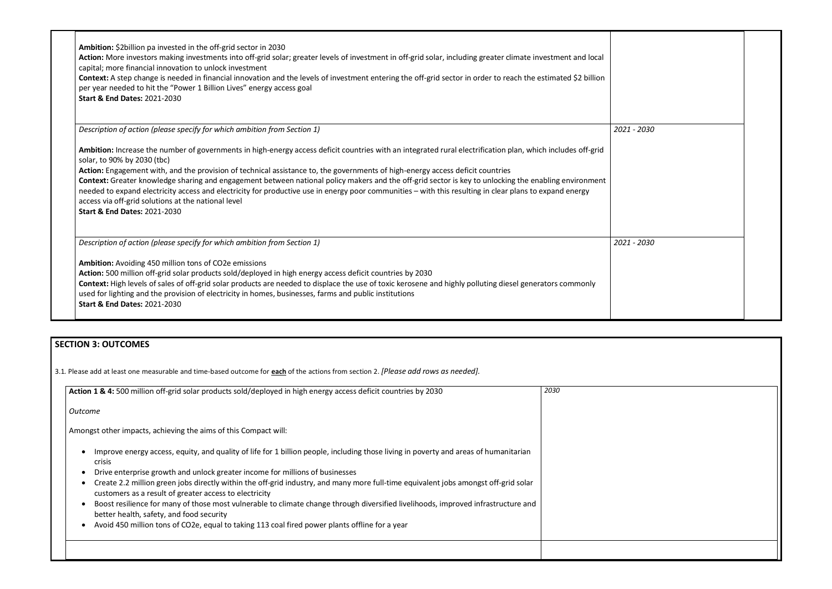| Ambition: \$2billion pa invested in the off-grid sector in 2030<br>Action: More investors making investments into off-grid solar; greater levels of investment in off-grid solar, including greater climate investment and local<br>capital; more financial innovation to unlock investment<br>Context: A step change is needed in financial innovation and the levels of investment entering the off-grid sector in order to reach the estimated \$2 billion<br>per year needed to hit the "Power 1 Billion Lives" energy access goal<br><b>Start &amp; End Dates: 2021-2030</b>                                                                                                                                                                  |             |
|----------------------------------------------------------------------------------------------------------------------------------------------------------------------------------------------------------------------------------------------------------------------------------------------------------------------------------------------------------------------------------------------------------------------------------------------------------------------------------------------------------------------------------------------------------------------------------------------------------------------------------------------------------------------------------------------------------------------------------------------------|-------------|
| Description of action (please specify for which ambition from Section 1)                                                                                                                                                                                                                                                                                                                                                                                                                                                                                                                                                                                                                                                                           | 2021 - 2030 |
| Ambition: Increase the number of governments in high-energy access deficit countries with an integrated rural electrification plan, which includes off-grid<br>solar, to 90% by 2030 (tbc)<br>Action: Engagement with, and the provision of technical assistance to, the governments of high-energy access deficit countries<br>Context: Greater knowledge sharing and engagement between national policy makers and the off-grid sector is key to unlocking the enabling environment<br>needed to expand electricity access and electricity for productive use in energy poor communities - with this resulting in clear plans to expand energy<br>access via off-grid solutions at the national level<br><b>Start &amp; End Dates: 2021-2030</b> |             |
| Description of action (please specify for which ambition from Section 1)                                                                                                                                                                                                                                                                                                                                                                                                                                                                                                                                                                                                                                                                           | 2021 - 2030 |
| Ambition: Avoiding 450 million tons of CO2e emissions<br>Action: 500 million off-grid solar products sold/deployed in high energy access deficit countries by 2030<br>Context: High levels of sales of off-grid solar products are needed to displace the use of toxic kerosene and highly polluting diesel generators commonly<br>used for lighting and the provision of electricity in homes, businesses, farms and public institutions<br><b>Start &amp; End Dates: 2021-2030</b>                                                                                                                                                                                                                                                               |             |

# **SECTION 3: OUTCOMES**

3.1*.* Please add at least one measurable and time-based outcome for **each** of the actions from section 2. *[Please add rows as needed].*

| Action 1 & 4: 500 million off-grid solar products sold/deployed in high energy access deficit countries by 2030                                                                                                                                                                                                                                                                                                                                                                                                                                                                                                                                                                                                           | 2030 |
|---------------------------------------------------------------------------------------------------------------------------------------------------------------------------------------------------------------------------------------------------------------------------------------------------------------------------------------------------------------------------------------------------------------------------------------------------------------------------------------------------------------------------------------------------------------------------------------------------------------------------------------------------------------------------------------------------------------------------|------|
| Outcome                                                                                                                                                                                                                                                                                                                                                                                                                                                                                                                                                                                                                                                                                                                   |      |
| Amongst other impacts, achieving the aims of this Compact will:                                                                                                                                                                                                                                                                                                                                                                                                                                                                                                                                                                                                                                                           |      |
| Improve energy access, equity, and quality of life for 1 billion people, including those living in poverty and areas of humanitarian<br><b>crisis</b><br>Drive enterprise growth and unlock greater income for millions of businesses<br>Create 2.2 million green jobs directly within the off-grid industry, and many more full-time equivalent jobs amongst off-grid solar<br>customers as a result of greater access to electricity<br>Boost resilience for many of those most vulnerable to climate change through diversified livelihoods, improved infrastructure and<br>better health, safety, and food security<br>Avoid 450 million tons of CO2e, equal to taking 113 coal fired power plants offline for a year |      |
|                                                                                                                                                                                                                                                                                                                                                                                                                                                                                                                                                                                                                                                                                                                           |      |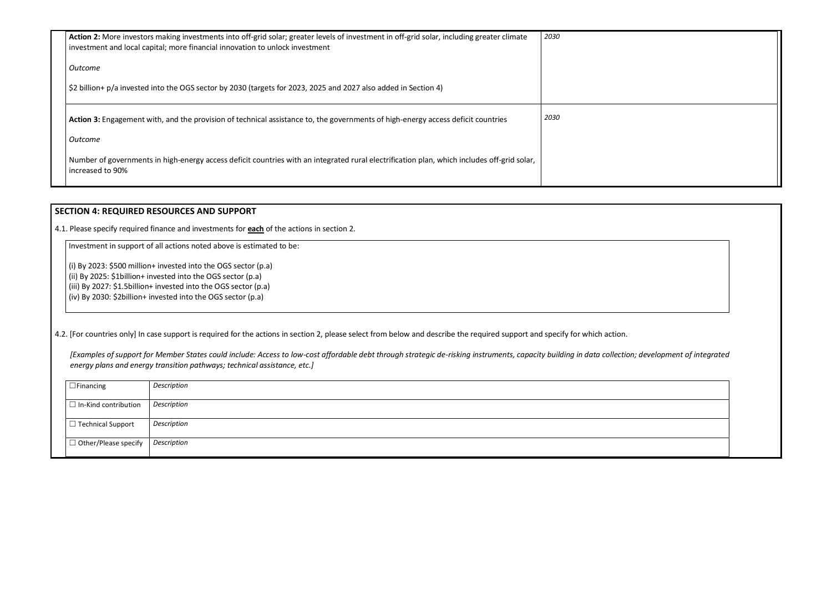| Action 2: More investors making investments into off-grid solar; greater levels of investment in off-grid solar, including greater climate<br>investment and local capital; more financial innovation to unlock investment | 2030 |
|----------------------------------------------------------------------------------------------------------------------------------------------------------------------------------------------------------------------------|------|
| Outcome                                                                                                                                                                                                                    |      |
| \$2 billion+ p/a invested into the OGS sector by 2030 (targets for 2023, 2025 and 2027 also added in Section 4)                                                                                                            |      |
| Action 3: Engagement with, and the provision of technical assistance to, the governments of high-energy access deficit countries                                                                                           | 2030 |
| <b>Outcome</b>                                                                                                                                                                                                             |      |
| Number of governments in high-energy access deficit countries with an integrated rural electrification plan, which includes off-grid solar,<br>increased to 90%                                                            |      |

## **SECTION 4: REQUIRED RESOURCES AND SUPPORT**

4.1. Please specify required finance and investments for **each** of the actions in section 2.

Investment in support of all actions noted above is estimated to be:

(i) By 2023: \$500 million+ invested into the OGS sector (p.a)

(ii) By 2025: \$1billion+ invested into the OGS sector (p.a)

(iii) By 2027: \$1.5billion+ invested into the OGS sector (p.a)

 $\vert$  (iv) By 2030: \$2billion+ invested into the OGS sector (p.a)

4.2. [For countries only] In case support is required for the actions in section 2, please select from below and describe the required support and specify for which action.

*[Examples of support for Member States could include: Access to low-cost affordable debt through strategic de-risking instruments, capacity building in data collection; development of integrated energy plans and energy transition pathways; technical assistance, etc.]*

| $\Box$ Financing            | Description |
|-----------------------------|-------------|
| $\Box$ In-Kind contribution | Description |
| $\Box$ Technical Support    | Description |
| $\Box$ Other/Please specify | Description |

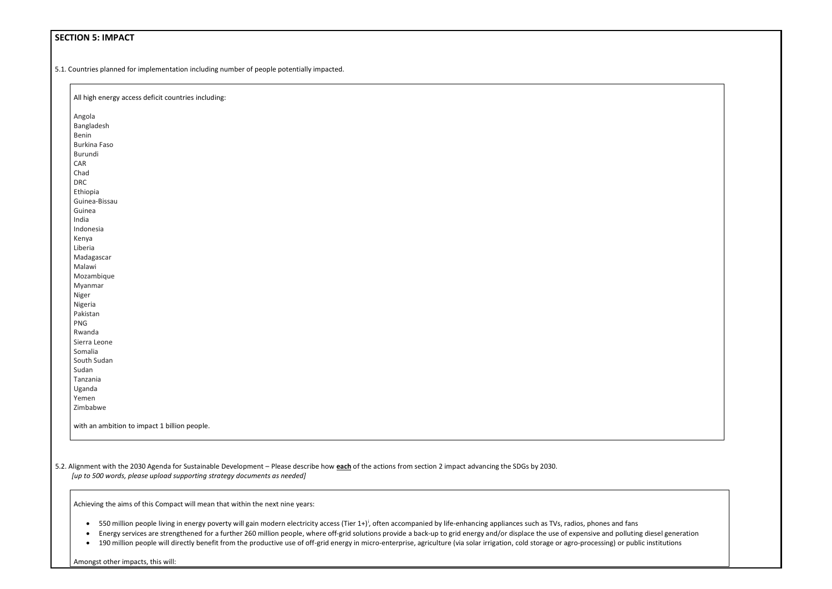## **SECTION 5: IMPACT**

All high energy access deficit countries including: Angola Bangladesh Benin Burkina Faso Burundi CAR Chad DRC Ethiopia Guinea-Bissau Guinea India Indonesia Kenya Liberia Madagascar Malawi Mozambique Myanmar Niger Nigeria Pakistan PNG Rwanda Sierra Leone Somalia South Sudan Sudan Tanzania Uganda Yemen Zimbabwe with an ambition to impact 1 billion people.

5.1. Countries planned for implementation including number of people potentially impacted.

5.2. Alignment with the 2030 Agenda for Sustainable Development – Please describe how **each** of the actions from section 2 impact advancing the SDGs by 2030. *[up to 500 words, please upload supporting strategy documents as needed]* 

In add

Achieving the aims of this Compact will mean that within the next nine years:

• 550 million people living in energy poverty will gain modern electricity access (Tier 1+)<sup>i</sup>, often accompanied by life-enhancing appliances such as TVs, radios, phones and fans

• Energy services are strengthened for a further 260 million people, where off-grid solutions provide a back-up to grid energy and/or displace the use of expensive and polluting diesel generation

• 190 million people will directly benefit from the productive use of off-grid energy in micro-enterprise, agriculture (via solar irrigation, cold storage or agro-processing) or public institutions

Amongst other impacts, this will: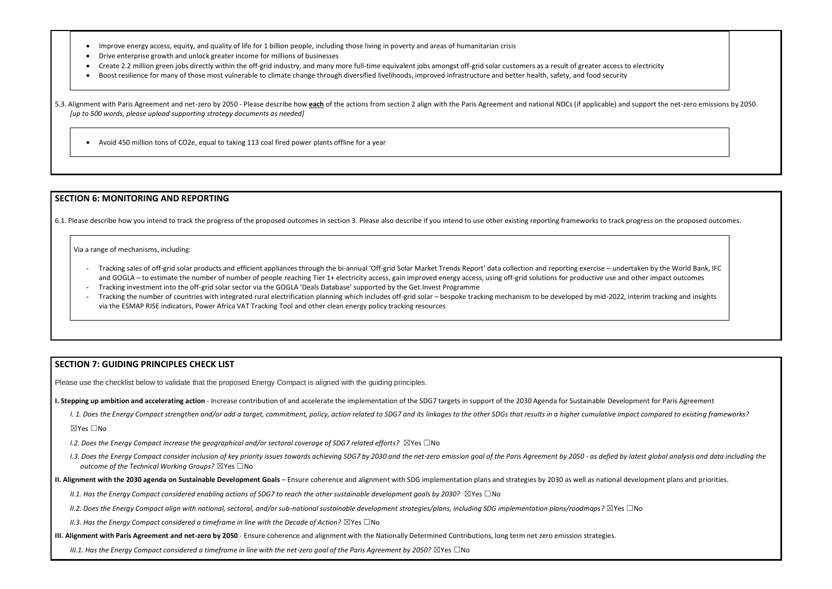- Improve energy access, equity, and quality of life for 1 billion people, including those living in poverty and areas of humanitarian crisis
- Drive enterprise growth and unlock greater income for millions of businesses
- Create 2.2 million green jobs directly within the off-grid industry, and many more full-time equivalent jobs amongst off-grid solar customers as a result of greater access to
- Boost resilience for many of those most vulnerable to climate change through diversified livelihoods, improved infrastructure and better health, safety, and food security

5.3. Alignment with Paris Agreement and net-zero by 2050 - Please describe how each of the actions from section 2 align with the Paris Agreement and national NDCs (if applicable) and *[up to 500 words, please upload supporting strategy documents as needed]* 

• Avoid 450 million tons of CO2e, equal to taking 113 coal fired power plants offline for a year

### **SECTION 6: MONITORING AND REPORTING**

6.1. Please describe how you intend to track the progress of the proposed outcomes in section 3. Please also describe if you intend to use other existing reporting frameworks to track progress on the proposed outcomes.

Via a range of mechanisms, including:

- Tracking sales of off-grid solar products and efficient appliances through the bi-annual 'Off-grid Solar Market Trends Report' data collection and reporting exercise undertaken by the World Bank, IFC and GOGLA – to estimate the number of number of people reaching Tier 1+ electricity access, gain improved energy access, using off-grid solutions for productive use and other impact outcomes
- Tracking investment into the off-grid solar sector via the GOGLA 'Deals Database' supported by the Get.Invest Programme
- Tracking the number of countries with integrated rural electrification planning which includes off-grid solar bespoke tracking mechanism to be developed by mid-2022, interim tracking and insights via the ESMAP RISE indicators, Power Africa VAT Tracking Tool and other clean energy policy tracking resources

- *I.2. Does the Energy Compact increase the geographical and/or sectoral coverage of SDG7 related efforts?* ⊠Yes □No
- I.3. Does the Energy Compact consider inclusion of key priority issues towards achieving SDG7 by 2030 and the net-zero emission goal of the Paris Agreement by 2050 as defied by latest global analysis and data including t *outcome of the Technical Working Groups?* ☒Yes ☐No
- **II. Alignment with the 2030 agenda on Sustainable Development Goals** Ensure coherence and alignment with SDG implementation plans and strategies by 2030 as well as national development plans and priorities.
	- *II.1. Has the Energy Compact considered enabling actions of SDG7 to reach the other sustainable development goals by 2030?* ⊠Yes □No
	- *II.2. Does the Energy Compact align with national, sectoral, and/or sub-national sustainable development strategies/plans, including SDG implementation plans/roadmaps?* ☒Yes ☐No
	- *II.3. Has the Energy Compact considered a timeframe in line with the Decade of Action?* ⊠Yes □No
- **III. Alignment with Paris Agreement and net-zero by 2050** Ensure coherence and alignment with the Nationally Determined Contributions, long term net zero emission strategies.

*III.1. Has the Energy Compact considered a timeframe in line with the net-zero goal of the Paris Agreement by 2050?* ⊠Yes □No

| o electricity                             |  |
|-------------------------------------------|--|
|                                           |  |
| d support the net-zero emissions by 2050. |  |
|                                           |  |
|                                           |  |

### **SECTION 7: GUIDING PRINCIPLES CHECK LIST**

Please use the checklist below to validate that the proposed Energy Compact is aligned with the guiding principles.

**I. Stepping up ambition and accelerating action** - Increase contribution of and accelerate the implementation of the SDG7 targets in support of the 2030 Agenda for Sustainable Development for Paris Agreement

I. 1. Does the Energy Compact strengthen and/or add a target, commitment, policy, action related to SDG7 and its linkages to the other SDGs that results in a higher cumulative impact compared to existing frameworks?

☒Yes ☐No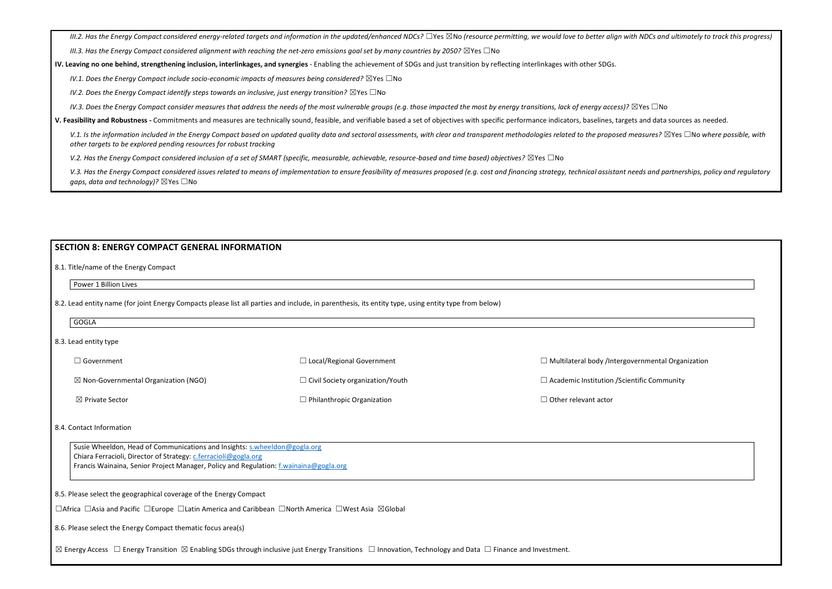III.2. Has the Energy Compact considered energy-related targets and information in the updated/enhanced NDCs?  $\Box$ Yes  $\boxtimes$ No (resource permitting, we would love to better align with NDCs and ultimately to track this prog

*III.3. Has the Energy Compact considered alignment with reaching the net-zero emissions goal set by many countries by 2050?* ⊠Yes □No

**IV. Leaving no one behind, strengthening inclusion, interlinkages, and synergies** - Enabling the achievement of SDGs and just transition by reflecting interlinkages with other SDGs.

*IV.1. Does the Energy Compact include socio-economic impacts of measures being considered?* ⊠Yes □No

*IV.2. Does the Energy Compact identify steps towards an inclusive, just energy transition?* ⊠Yes □No

*IV.3. Does the Energy Compact consider measures that address the needs of the most vulnerable groups (e.g. those impacted the most by energy transitions, lack of energy access)?* ⊠Yes □No

V.1. Is the information included in the Energy Compact based on updated quality data and sectoral assessments, with clear and transparent methodologies related to the proposed measures?  $\boxtimes$  Yes  $\Box$  No where possible, w *other targets to be explored pending resources for robust tracking*

*V.2. Has the Energy Compact considered inclusion of a set of SMART (specific, measurable, achievable, resource-based and time based) objectives?* ⊠Yes □No

V.3. Has the Energy Compact considered issues related to means of implementation to ensure feasibility of measures proposed (e.g. cost and financing strategy, technical assistant needs and partnerships, policy and regulato *gaps, data and technology*)? ⊠Yes □No

**V. Feasibility and Robustness -** Commitments and measures are technically sound, feasible, and verifiable based a set of objectives with specific performance indicators, baselines, targets and data sources as needed.

Susie Wheeldon, Head of Communications and Insights: [s.wheeldon@gogla.org](mailto:s.wheeldon@gogla.org) Chiara Ferracioli, Director of Strategy: [c.ferracioli@gogla.org](mailto:c.ferracioli@gogla.org) Francis Wainaina, Senior Project Manager, Policy and Regulation: [f.wainaina@gogla.org](mailto:f.wainaina@gogla.org)

#### **SECTION 8: ENERGY COMPACT GENERAL INFORMATION**

8.1. Title/name of the Energy Compact

Power 1 Billion Lives

8.2. Lead entity name (for joint Energy Compacts please list all parties and include, in parenthesis, its entity type, using entity type from below)

| GOGLA                 |                                                 |                                         |                                                          |  |
|-----------------------|-------------------------------------------------|-----------------------------------------|----------------------------------------------------------|--|
| 8.3. Lead entity type |                                                 |                                         |                                                          |  |
|                       | $\Box$ Government                               | $\Box$ Local/Regional Government        | $\Box$ Multilateral body /Intergovernmental Organization |  |
|                       | $\boxtimes$ Non-Governmental Organization (NGO) | $\Box$ Civil Society organization/Youth | $\Box$ Academic Institution / Scientific Community       |  |
|                       | $\boxtimes$ Private Sector                      | $\Box$ Philanthropic Organization       | $\Box$ Other relevant actor                              |  |

#### 8.4. Contact Information

8.5. Please select the geographical coverage of the Energy Compact

☐Africa ☐Asia and Pacific ☐Europe ☐Latin America and Caribbean ☐North America ☐West Asia ☒Global

8.6. Please select the Energy Compact thematic focus area(s)

⊠ Energy Access □ Energy Transition ⊠ Enabling SDGs through inclusive just Energy Transitions □ Innovation, Technology and Data □ Finance and Investment.

| overnmental Organization |  |
|--------------------------|--|
| entific Community        |  |
|                          |  |
|                          |  |
|                          |  |
|                          |  |
|                          |  |
|                          |  |
|                          |  |